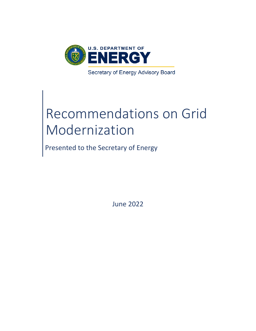

# Recommendations on Grid Modernization

Presented to the Secretary of Energy

June 2022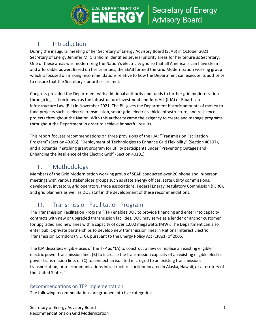

# I. Introduction

During the inaugural meeting of her Secretary of Energy Advisory Board (SEAB) in October 2021, Secretary of Energy Jennifer M. Granholm identified several priority areas for her tenure as Secretary. One of these areas was modernizing the Nation's electricity grid so that all Americans can have clean and affordable power. Based on her priorities, the SEAB formed the Grid Modernization working group which is focused on making recommendations relative to how the Department can execute its authority to ensure that the Secretary's priorities are met.

Congress provided the Department with additional authority and funds to further grid modernization through legislation known as the Infrastructure Investment and Jobs Act (IIJA) or Bipartisan Infrastructure Law (BIL) in November 2021. The BIL gives the Department historic amounts of money to fund projects such as electric transmission, smart grid, electric vehicle infrastructure, and resilience projects throughout the Nation. With this authority came the exigency to create and manage programs throughout the Department in order to achieve impactful results.

This report focuses recommendations on three provisions of the IIJA: "Transmission Facilitation Program" (Section 40106), "Deployment of Technologies to Enhance Grid Flexibility" (Section 40107), and a potential matching grant program for utility participants under "Preventing Outages and Enhancing the Resilience of the Electric Grid" (Section 40101).

# II. Methodology

Members of the Grid Modernization working group of SEAB conducted over 20 phone and in-person meetings with various stakeholder groups such as state energy offices, state utility commissions, developers, investors, grid operators, trade associations, Federal Energy Regulatory Commission (FERC), and grid planners as well as DOE staff in the development of these recommendations.

# III. Transmission Facilitation Program

The Transmission Facilitation Program (TFP) enables DOE to provide financing and enter into capacity contracts with new or upgraded transmission facilities. DOE may serve as a lender or anchor customer for upgraded and new lines with a capacity of over 1,000 megawatts (MW). The Department can also enter public-private partnerships to develop new transmission lines in National Interest Electric Transmission Corridors (NIETC), pursuant to the Energy Policy Act (EPAct) of 2005.

The IIJA describes eligible uses of the TFP as "(A) to construct a new or replace an existing eligible electric power transmission line; (B) to increase the transmission capacity of an existing eligible electric power transmission line; or (C) to connect an isolated microgrid to an existing transmission, transportation, or telecommunications infrastructure corridor located in Alaska, Hawaii, or a territory of the United States."

# Recommendations on TFP Implementation:

The following recommendations are grouped into five categories: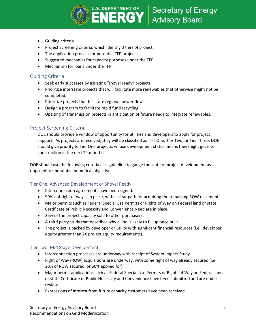

- Guiding criteria.
- Project Screening criteria, which identify 3 tiers of project.
- The application process for potential TFP projects.
- Suggested mechanics for capacity purposes under the TFP.
- Mechanism for loans under the TFP.

#### Guiding Criteria:

- Seek early successes by assisting "shovel ready" projects.
- Prioritize interstate projects that will facilitate more renewables that otherwise might not be completed.
- Prioritize projects that facilitate regional power flows.
- Design a program to facilitate rapid fund recycling.
- Upsizing of transmission projects in anticipation of future needs to integrate renewables.

## Project Screening Criteria

DOE should provide a window of opportunity for utilities and developers to apply for project support. As projects are received, they will be classified as Tier One, Tier Two, or Tier Three. DOE should give priority to Tier One projects, whose development status means they might get into construction in the next 24 months.

DOE should use the following criteria as a guideline to gauge the state of project development as opposed to immutable numerical objectives.

## Tier One: Advanced Development or Shovel Ready

- Interconnection agreements have been signed.
- 90%+ of right of way is in place, with a clear path for acquiring the remaining ROW easements.
- Major permits such as Federal Special Use Permits or Rights of Way on Federal land or state Certificate of Public Necessity and Convenience Need are in place.
- 25% of the project capacity sold to other purchasers.
- A third party study that describes why a line is likely to fill up once built.
- The project is backed by developer or utility with significant financial resources (i.e., developer equity greater than 2X project equity requirements).

#### Tier Two: Mid Stage Development

- Interconnection processes are underway with receipt of System Impact Study.
- Right of Way (ROW) acquisitions are underway, with some right of way already secured (i.e., 20% of ROW secured, or 60% applied for).
- Major permit applications such as Federal Special Use Permits or Rights of Way on Federal land or state Certificate of Public Necessity and Convenience have been submitted and are under review.
- Expressions of interest from future capacity customers have been received.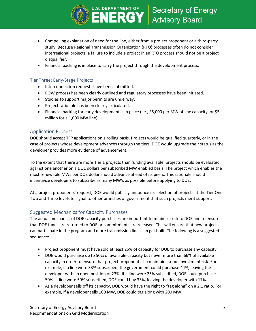

- Compelling explanation of need for the line, either from a project proponent or a third-party study. Because Regional Transmission Organization (RTO) processes often do not consider interregional projects, a failure to include a project in an RTO process should not be a project disqualifier.
- Financial backing is in place to carry the project through the development process.

#### Tier Three: Early-Stage Projects

- Interconnection requests have been submitted.
- ROW process has been clearly outlined and regulatory processes have been initiated.
- Studies to support major permits are underway.
- Project rationale has been clearly articulated.
- Financial backing for early development is in place (i.e., \$5,000 per MW of line capacity, or \$5 million for a 1,000 MW line).

#### Application Process

DOE should accept TFP applications on a rolling basis. Projects would be qualified quarterly, or in the case of projects whose development advances through the tiers, DOE would upgrade their status as the developer provides more evidence of advancement.

To the extent that there are more Tier 1 projects than funding available, projects should be evaluated against one another on a DOE dollars per subscribed MW enabled basis. The project which enables the most renewable MWs per DOE dollar should advance ahead of its peers. This rationale should incentivize developers to subscribe as many MW's as possible before applying to DOE.

At a project proponents' request, DOE would publicly announce its selection of projects at the Tier One, Two and Three levels to signal to other branches of government that such projects merit support.

## Suggested Mechanics for Capacity Purchases

The actual mechanics of DOE capacity purchases are important to minimize risk to DOE and to ensure that DOE funds are returned to DOE or commitments are released. This will ensure that new projects can participate in the program and more transmission lines can get built. The following is a suggested sequence:

- Project proponent must have sold at least 25% of capacity for DOE to purchase any capacity.
- DOE would purchase up to 50% of available capacity but never more than 66% of available capacity in order to ensure that project proponent also maintains some investment risk. For example, if a line were 33% subscribed, the government could purchase 44%, leaving the developer with an open position of 23%. If a line were 25% subscribed, DOE could purchase 50%. If line were 50% subscribed, DOE could buy 33%, leaving the developer with 17%.
- As a developer sells off its capacity, DOE would have the right to "tag along" on a 2:1 ratio. For example, if a developer sells 100 MW, DOE could tag along with 200 MW.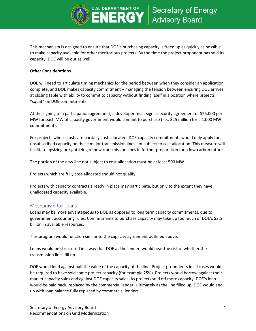

This mechanism is designed to ensure that DOE's purchasing capacity is freed up as quickly as possible to make capacity available for other meritorious projects. By the time the project proponent has sold its capacity, DOE will be out as well.

#### **Other Considerations**

DOE will need to articulate timing mechanics for the period between when they consider an application complete, and DOE makes capacity commitment – managing the tension between ensuring DOE arrives at closing table with ability to commit to capacity without finding itself in a position where projects "squat" on DOE commitments.

At the signing of a participation agreement, a developer must sign a security agreement of \$25,000 per MW for each MW of capacity government would commit to purchase (i.e., \$25 million for a 1,000 MW commitment).

For projects whose costs are partially cost allocated, DOE capacity commitments would only apply for unsubscribed capacity on these major transmission lines not subject to cost allocation. This measure will facilitate upsizing or rightsizing of new transmission lines in further preparation for a low-carbon future.

The portion of the new line not subject to cost allocation must be at least 500 MW.

Projects which are fully cost-allocated should not qualify.

Projects with capacity contracts already in place may participate, but only to the extent they have unallocated capacity available.

#### Mechanism for Loans

Loans may be more advantageous to DOE as opposed to long term capacity commitments, due to government accounting rules. Commitments to purchase capacity may take up too much of DOE's \$2.5 billion in available resources.

This program would function similar to the capacity agreement outlined above.

Loans would be structured in a way that DOE as the lender, would bear the risk of whether the transmission lines fill up.

DOE would lend against half the value of the capacity of the line. Project proponents in all cases would be required to have sold some project capacity (for example 25%). Projects would borrow against their market capacity sales and against DOE capacity sales. As projects sold off more capacity, DOE's loan would be paid back, replaced by the commercial lender. Ultimately as the line filled up, DOE would end up with loan balance fully replaced by commercial lenders.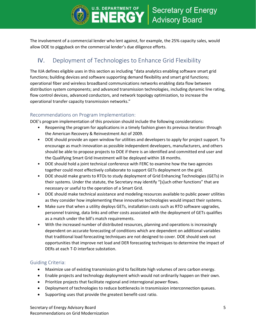

The involvement of a commercial lender who lent against, for example, the 25% capacity sales, would allow DOE to piggyback on the commercial lender's due diligence efforts.

# IV. Deployment of Technologies to Enhance Grid Flexibility

The IIJA defines eligible uses in this section as including "data analytics enabling software smart grid functions; building devices and software supporting demand flexibility and smart grid functions; operational fiber and wireless broadband communications networks enabling data flow between distribution system components; and advanced transmission technologies, including dynamic line rating, flow control devices, advanced conductors, and network topology optimization, to increase the operational transfer capacity transmission networks."

## Recommendations on Program Implementation:

DOE's program implementation of this provision should include the following considerations:

- Reopening the program for applications in a timely fashion given its previous iteration through the American Recovery & Reinvestment Act of 2009.
- DOE should provide an open window for utilities and developers to apply for project support. To encourage as much innovation as possible independent developers, manufacturers, and others should be able to propose projects to DOE if there is an identified and committed end user and the Qualifying Smart Grid Investment will be deployed within 18 months.
- DOE should hold a joint technical conference with FERC to examine how the two agencies together could most effectively collaborate to support GETs deployment on the grid.
- DOE should make grants to RTOs to study deployment of Grid Enhancing Technologies (GETs) in their systems. Under the statute, the Secretary may identify "[s]uch other functions" that are necessary or useful to the operation of a Smart Grid.
- DOE should make technical assistance and modeling resources available to public power utilities as they consider how implementing these innovative technologies would impact their systems.
- Make sure that when a utility deploys GETs, installation costs such as RTO software upgrades, personnel training, data links and other costs associated with the deployment of GETs qualifies as a match under the bill's match requirements.
- With the increased number of distributed resources, planning and operations is increasingly dependent on accurate forecasting of conditions which are dependent on additional variables that traditional load forecasting techniques are not designed to cover. DOE should seek out opportunities that improve net load and DER forecasting techniques to determine the impact of DERs at each T-D interface substation.

#### Guiding Criteria:

- Maximize use of existing transmission grid to facilitate high volumes of zero carbon energy.
- Enable projects and technology deployment which would not ordinarily happen on their own.
- Prioritize projects that facilitate regional and interregional power flows.
- Deployment of technologies to reduce bottlenecks in transmission interconnection queues.
- Supporting uses that provide the greatest benefit-cost ratio.

Secretary of Energy Advisory Board 5 and 5 and 5 and 5 and 5 and 5 and 5 and 5 and 5 and 5 and 5 and 5 and 5 and 5 and 5 and 5 and 5 and 5 and 5 and 5 and 5 and 5 and 5 and 5 and 5 and 5 and 5 and 5 and 5 and 5 and 5 and 5 Recommendations on Grid Modernization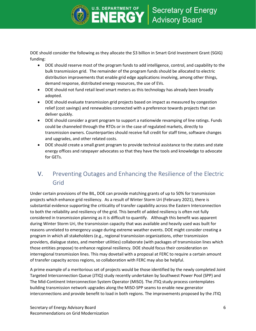

DOE should consider the following as they allocate the \$3 billion in Smart Grid Investment Grant (SGIG) funding:

- DOE should reserve most of the program funds to add intelligence, control, and capability to the bulk transmission grid. The remainder of the program funds should be allocated to electric distribution improvements that enable grid edge applications involving, among other things, demand response, distributed energy resources, the use of EVs.
- DOE should not fund retail level smart meters as this technology has already been broadly adopted.
- DOE should evaluate transmission grid projects based on impact as measured by congestion relief (cost savings) and renewables connected with a preference towards projects that can deliver quickly.
- DOE should consider a grant program to support a nationwide revamping of line ratings. Funds could be channeled through the RTOs or in the case of regulated markets, directly to transmission owners. Counterparties should receive full credit for staff time, software changes and upgrades, and other related costs.
- DOE should create a small grant program to provide technical assistance to the states and state energy offices and ratepayer advocates so that they have the tools and knowledge to advocate for GETs.

# V. Preventing Outages and Enhancing the Resilience of the Electric Grid

Under certain provisions of the BIL, DOE can provide matching grants of up to 50% for transmission projects which enhance grid resiliency. As a result of Winter Storm Uri (February 2021), there is substantial evidence supporting the criticality of transfer capability across the Eastern Interconnection to both the reliability and resiliency of the grid. This benefit of added resiliency is often not fully considered in transmission planning as it is difficult to quantify. Although this benefit was apparent during Winter Storm Uri, the transmission capacity that was available and heavily used was built for reasons unrelated to emergency usage during extreme weather events. DOE might consider creating a program in which all stakeholders (e.g., regional transmission organizations, other transmission providers, dialogue states, and member utilities) collaborate (with packages of transmission lines which those entities propose) to enhance regional resiliency. DOE should focus their consideration on interregional transmission lines. This may dovetail with a proposal at FERC to require a certain amount of transfer capacity across regions, so collaboration with FERC may also be helpful.

A prime example of a meritorious set of projects would be those identified by the newly completed Joint Targeted Interconnection Queue (JTIQ) study recently undertaken by Southwest Power Pool (SPP) and The Mid-Continent Interconnection System Operator (MISO). The JTIQ study process contemplates building transmission network upgrades along the MISO-SPP seams to enable new generator interconnections and provide benefit to load in both regions. The improvements proposed by the JTIQ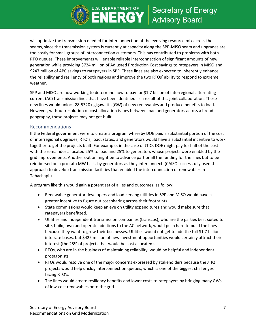

will optimize the transmission needed for interconnection of the evolving resource mix across the seams, since the transmission system is currently at capacity along the SPP-MISO seam and upgrades are too costly for small groups of interconnection customers. This has contributed to problems with both RTO queues. These improvements will enable reliable interconnection of significant amounts of new generation while providing \$724 million of Adjusted Production Cost savings to ratepayers in MISO and \$247 million of APC savings to ratepayers in SPP. These lines are also expected to inherently enhance the reliability and resiliency of both regions and improve the two RTOs' ability to respond to extreme weather.

SPP and MISO are now working to determine how to pay for \$1.7 billion of interregional alternating current (AC) transmission lines that have been identified as a result of this joint collaboration. These new lines would unlock 28-5320+ gigawatts (GW) of new renewables and produce benefits to load. However, without resolution of cost allocation issues between load and generators across a broad geography, these projects may not get built.

#### Recommendations

If the Federal government were to create a program whereby DOE paid a substantial portion of the cost of interregional upgrades, RTO's, load, states, and generators would have a substantial incentive to work together to get the projects built. For example, in the case of JTIQ, DOE might pay for half of the cost with the remainder allocated 25% to load and 25% to generators whose projects were enabled by the grid improvements. Another option might be to advance part or all the funding for the lines but to be reimbursed on a pro rata MW basis by generators as they interconnect. (CAISO successfully used this approach to develop transmission facilities that enabled the interconnection of renewables in Tehachapi.)

A program like this would gain a potent set of allies and outcomes, as follow:

- Renewable generator developers and load-serving utilities in SPP and MISO would have a greater incentive to figure out cost sharing across their footprints
- State commissions would keep an eye on utility expenditures and would make sure that ratepayers benefitted.
- Utilities and independent transmission companies (transcos), who are the parties best suited to site, build, own and operate additions to the AC network, would push hard to build the lines because they want to grow their businesses. Utilities would not get to add the full \$1.7 billion into rate bases, but \$425 million of new investment opportunities would certainly attract their interest (the 25% of projects that would be cost allocated).
- RTOs, who are in the business of maintaining reliability, would be helpful and independent protagonists.
- RTOs would resolve one of the major concerns expressed by stakeholders because the JTIQ projects would help unclog interconnection queues, which is one of the biggest challenges facing RTO's.
- The lines would create resiliency benefits and lower costs to ratepayers by bringing many GWs of low-cost renewables onto the grid.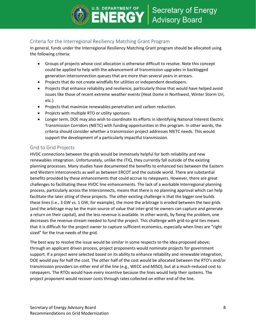

## Criteria for the Interregional Resiliency Matching Grant Program

In general, funds under the Interregional Resiliency Matching Grant program should be allocated using the following criteria:

- Groups of projects whose cost allocation is otherwise difficult to resolve. Note this concept could be applied to help with the advancement of transmission upgrades in backlogged generation interconnection queues that are more than several years in arrears.
- Projects that do not create windfalls for utilities or independent developers.
- Projects that enhance reliability and resilience, particularly those that would have helped avoid issues like those of recent extreme weather events (Heat Dome in Northwest, Winter Storm Uri, etc.)
- Projects that maximize renewables penetration and carbon reduction.
- Projects with multiple RTO or utility sponsors.
- Longer term, DOE may also wish to coordinate its efforts in identifying National Interest Electric Transmission Corridors (NIETC) with funding opportunities in this program. In other words, the criteria should consider whether a transmission project addresses NIETC needs. This would support the development of a particularly impactful transmission.

#### Grid to Grid Projects

HVDC connections between the grids would be immensely helpful for both reliability and new renewables integration. Unfortunately, unlike the JTIQ, they currently fall outside of the existing planning processes. Many studies have documented the benefits to enhanced ties between the Eastern and Western Interconnects as well as between ERCOT and the outside world. There are substantial benefits provided by these enhancements that could accrue to ratepayers. However, there are great challenges to facilitating these HVDC line enhancements. The lack of a workable interregional planning process, particularly across the Interconnects, means that there is no planning approval which can help facilitate the later siting of these projects. The other existing challenge is that the bigger one builds these lines (i.e., 3 GW vs. 1 GW, for example), the more the arbitrage is eroded between the two grids (and the arbitrage may be the main source of value that inter-grid tie owners can capture and generate a return on their capital), and the less revenue is available. In other words, by fixing the problem, one decreases the revenue stream needed to fund the project. This challenge with grid-to-grid ties means that it is difficult for the project owner to capture sufficient economics, especially when lines are "right sized" for the true needs of the grid.

The best way to resolve the issue would be similar in some respects to the idea proposed above; through an applicant driven process, project proponents would nominate projects for government support. If a project were selected based on its ability to enhance reliability and renewable integration, DOE would pay for half the cost. The other half of the cost would be allocated between the RTO's and/or transmission providers on either end of the line (e.g., WECC and MISO), but at a much-reduced cost to ratepayers. The RTOs would have every incentive because the lines would help their systems. The project proponent would recover costs through rates collected on either end of the line.